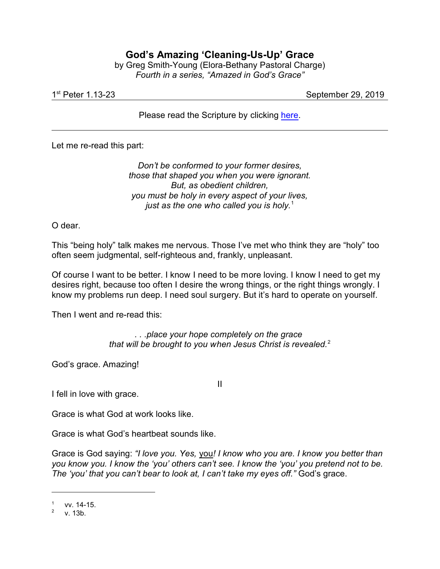## **God's Amazing 'Cleaning-Us-Up' Grace**

by Greg Smith-Young (Elora-Bethany Pastoral Charge) *Fourth in a series, "Amazed in God's Grace"*

1 st

September 29, 2019

Please read the Scripture by clicking [here](https://www.biblegateway.com/passage/?search=1+Peter+1%3A13-23&version=CEB).

Let me re-read this part:

*Don't be conformed to your former desires, those that shaped you when you were ignorant. But, as obedient children, you must be holy in every aspect of your lives, just as the one who called you is holy.*<sup>1</sup>

O dear.

This "being holy" talk makes me nervous. Those I've met who think they are "holy" too often seem judgmental, self-righteous and, frankly, unpleasant.

Of course I want to be better. I know I need to be more loving. I know I need to get my desires right, because too often I desire the wrong things, or the right things wrongly. I know my problems run deep. I need soul surgery. But it's hard to operate on yourself.

Then I went and re-read this:

*. . .place your hope completely on the grace that will be brought to you when Jesus Christ is revealed.*<sup>2</sup>

II

God's grace. Amazing!

I fell in love with grace.

Grace is what God at work looks like.

Grace is what God's heartbeat sounds like.

Grace is God saying: *"I love you. Yes,* you*! I know who you are. I know you better than you know you. I know the 'you' others can't see. I know the 'you' you pretend not to be. The 'you' that you can't bear to look at, I can't take my eyes off."* God's grace.

<sup>1</sup> vv. 14-15.

<sup>2</sup> v. 13b.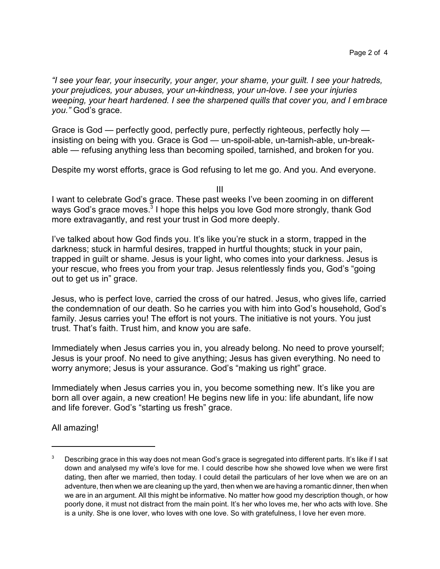*"I see your fear, your insecurity, your anger, your shame, your guilt. I see your hatreds, your prejudices, your abuses, your un-kindness, your un-love. I see your injuries weeping, your heart hardened. I see the sharpened quills that cover you, and I embrace you."* God's grace.

Grace is God — perfectly good, perfectly pure, perfectly righteous, perfectly holy insisting on being with you. Grace is God — un-spoil-able, un-tarnish-able, un-breakable — refusing anything less than becoming spoiled, tarnished, and broken for you.

Despite my worst efforts, grace is God refusing to let me go. And you. And everyone.

III

I want to celebrate God's grace. These past weeks I've been zooming in on different ways God's grace moves. $^3$  I hope this helps you love God more strongly, thank God more extravagantly, and rest your trust in God more deeply.

I've talked about how God finds you. It's like you're stuck in a storm, trapped in the darkness; stuck in harmful desires, trapped in hurtful thoughts; stuck in your pain, trapped in guilt or shame. Jesus is your light, who comes into your darkness. Jesus is your rescue, who frees you from your trap. Jesus relentlessly finds you, God's "going out to get us in" grace.

Jesus, who is perfect love, carried the cross of our hatred. Jesus, who gives life, carried the condemnation of our death. So he carries you with him into God's household, God's family. Jesus carries you! The effort is not yours. The initiative is not yours. You just trust. That's faith. Trust him, and know you are safe.

Immediately when Jesus carries you in, you already belong. No need to prove yourself; Jesus is your proof. No need to give anything; Jesus has given everything. No need to worry anymore; Jesus is your assurance. God's "making us right" grace.

Immediately when Jesus carries you in, you become something new. It's like you are born all over again, a new creation! He begins new life in you: life abundant, life now and life forever. God's "starting us fresh" grace.

All amazing!

Describing grace in this way does not mean God's grace is segregated into different parts. It's like if I sat down and analysed my wife's love for me. I could describe how she showed love when we were first dating, then after we married, then today. I could detail the particulars of her love when we are on an adventure, then when we are cleaning up the yard, then when we are having a romantic dinner, then when we are in an argument. All this might be informative. No matter how good my description though, or how poorly done, it must not distract from the main point. It's her who loves me, her who acts with love. She is a unity. She is one lover, who loves with one love. So with gratefulness, I love her even more.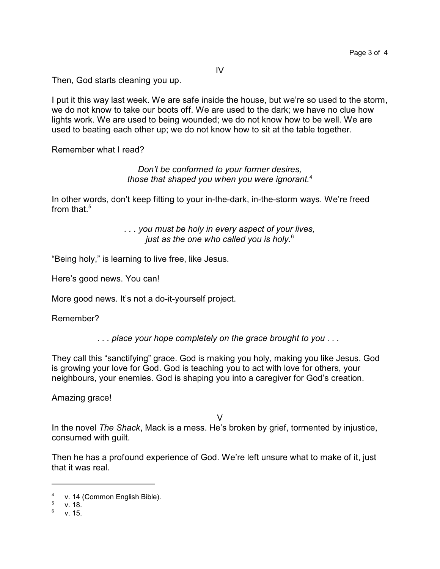IV

Then, God starts cleaning you up.

I put it this way last week. We are safe inside the house, but we're so used to the storm, we do not know to take our boots off. We are used to the dark; we have no clue how lights work. We are used to being wounded; we do not know how to be well. We are used to beating each other up; we do not know how to sit at the table together.

Remember what I read?

## *Don't be conformed to your former desires, those that shaped you when you were ignorant.*<sup>4</sup>

In other words, don't keep fitting to your in-the-dark, in-the-storm ways. We're freed from that. $5$ 

> *. . . you must be holy in every aspect of your lives, just as the one who called you is holy.*<sup>6</sup>

"Being holy," is learning to live free, like Jesus.

Here's good news. You can!

More good news. It's not a do-it-yourself project.

Remember?

*. . . place your hope completely on the grace brought to you . . .* 

They call this "sanctifying" grace. God is making you holy, making you like Jesus. God is growing your love for God. God is teaching you to act with love for others, your neighbours, your enemies. God is shaping you into a caregiver for God's creation.

Amazing grace!

 $\vee$ 

In the novel *The Shack*, Mack is a mess. He's broken by grief, tormented by injustice, consumed with guilt.

Then he has a profound experience of God. We're left unsure what to make of it, just that it was real.

<sup>4</sup> v. 14 (Common English Bible).

<sup>5</sup> v. 18.

<sup>6</sup> v. 15.